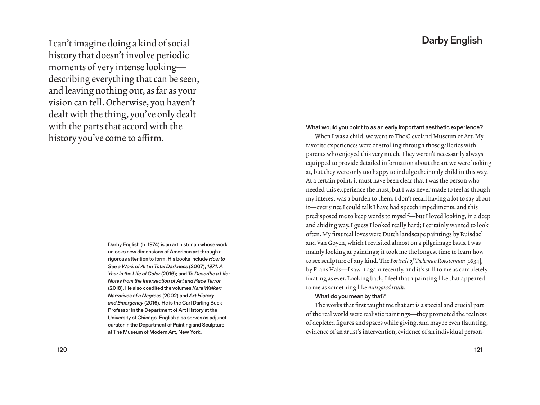# Darby English

I can'timagine doing a kind of social history that doesn't involve periodic moments of very intense looking describing everything that can be seen, and leaving nothing out, as far as your vision can tell. Otherwise, you haven't dealt with the thing, you've only dealt with the parts that accord with the history you've come to affirm.

> Darby English (b. 1974) is an art historian whose work unlocks new dimensions of American art through a rigorous attention to form. His books include *How to See a Work of Art in Total Darkness* (2007); *1971: A Year in the Life of Color* (2016); and *To Describe a Life: Notes from the Intersection of Art and Race Terror* (2018). He also coedited the volumes *Kara Walker: Narratives of a Negress* (2002) and *Art History and Emergency* (2016). He is the Carl Darling Buck Professor in the Department of Art History at the University of Chicago. English also serves as adjunct curator in the Department of Painting and Sculpture at The Museum of Modern Art, New York.

What would you point to as an early important aesthetic experience?

When I was a child, we went to The Cleveland Museum of Art. My favorite experiences were of strolling through those galleries with parents who enjoyed this very much.They weren't necessarily always equipped to provide detailed information about the art we were looking at, but they were only too happy to indulge their only child in this way. At a certain point, it must have been clear that I was the person who needed this experience the most, but I was never made to feel as though my interest was a burden to them.I don't recall having a lot to say about it—ever since I could talk I have had speech impediments, and this predisposed me to keep words to myself—but I loved looking, in a deep and abiding way.I guess I looked really hard; I certainly wanted to look often. My first real loves were Dutch landscape paintings by Ruisdael and Van Goyen, which I revisited almost on a pilgrimage basis.I was mainly looking at paintings; it took me the longest time to learn how to see sculpture of any kind.The *Portrait of Tieleman Roosterman* [1634], by Frans Hals—I saw it again recently, and it's still to me as completely fixating as ever. Looking back,I feel that a painting like that appeared to me as something like *mitigated truth*.

## What do you mean by that?

The works that first taught me that art is a special and crucial part of the real world were realistic paintings—they promoted the realness of depicted figures and spaces while giving, and maybe even flaunting, evidence of an artist's intervention, evidence of an individual person-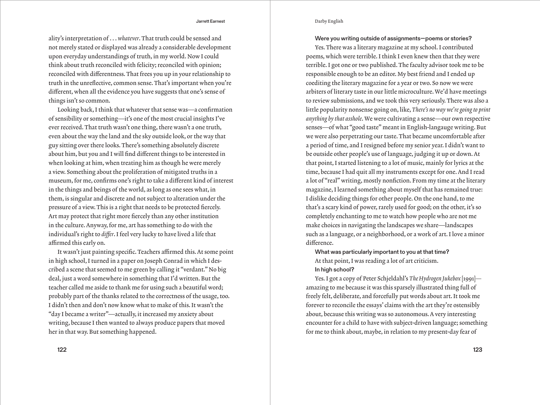## Darby English

ality's interpretation of . . . *whatever*.That truth could be sensed and not merely stated or displayed was already a considerable development upon everyday understandings of truth, in my world. Now I could think about truth reconciled with felicity; reconciled with opinion; reconciled with differentness.That frees you up in your relationship to truth in the unreflective, common sense.That's important when you're different, when all the evidence you have suggests that one's sense of things isn't so common.

Looking back,I think that whatever that sense was—a confirmation of sensibility or something—it's one of the most crucial insights I've ever received. That truth wasn't one thing, there wasn't a one truth, even about the way the land and the sky outside look, or the way that guy sitting over there looks.There's something absolutely discrete about him, but you and I will find different things to be interested in when looking at him, when treating him as though he were merely a view. Something about the proliferation of mitigated truths in a museum, for me, confirms one's right to take a different kind of interest in the things and beings of the world, as long as one sees what, in them, is singular and discrete and not subject to alteration under the pressure of a view.This is a right that needs to be protected fiercely. Art may protect that right more fiercely than any other institution in the culture.Anyway, for me, art has something to do with the individual's right to *differ*.I feel very lucky to have lived a life that affirmed this early on.

It wasn't just painting specific.Teachers affirmed this.At some point in high school, I turned in a paper on Joseph Conrad in which I described a scene that seemed to me green by calling it "verdant." No big deal, just a word somewhere in something that I'd written. But the teacher called me aside to thank me for using such a beautiful word; probably part of the thanks related to the correctness of the usage, too. I didn't then and don't now know what to make of this. It wasn't the "day I became a writer"—actually, it increased my anxiety about writing, because I then wanted to always produce papers that moved her in that way. But something happened.

122 123

Were you writing outside of assignments—poems or stories?

Yes. There was a literary magazine at my school. I contributed poems, which were terrible.I think I even knew then that they were terrible.I got one or two published.The faculty advisor took me to be responsible enough to be an editor. My best friend and I ended up coediting the literary magazine for a year or two. So now we were arbiters of literary taste in our little microculture. We'd have meetings to review submissions, and we took this very seriously.There was also a little popularity nonsense going on, like, *There's no way we're going to print anything by that asshole*. We were cultivating a sense—our own respective senses—of what "good taste" meant in English-langauge writing. But we were also perpetrating our taste.That became uncomfortable after a period of time, and I resigned before my senior year.I didn't want to be outside other people's use of language, judging it up or down.At that point,I started listening to a lot of music, mainly for lyrics at the time, because I had quit all my instruments except for one. And I read a lot of "real" writing, mostly nonfiction. From my time at the literary magazine, I learned something about myself that has remained true: I dislike deciding things for other people. On the one hand, to me that's a scary kind of power, rarely used for good; on the other, it's so completely enchanting to me to watch how people who are not me make choices in navigating the landscapes we share—landscapes such as a language, or a neighborhood, or a work of art.I love a minor difference.

What was particularly important to you at that time? At that point,I was reading a lot of art criticism. In high school?

Yes.I got a copy of Peter Schjeldahl's *The Hydrogen Jukebox* [1991] amazing to me because it was this sparsely illustrated thing full of freely felt, deliberate, and forcefully put words about art.It took me forever to reconcile the essays' claims with the art they're ostensibly about, because this writing was so autonomous.A very interesting encounter for a child to have with subject-driven language; something for me to think about, maybe, in relation to my present-day fear of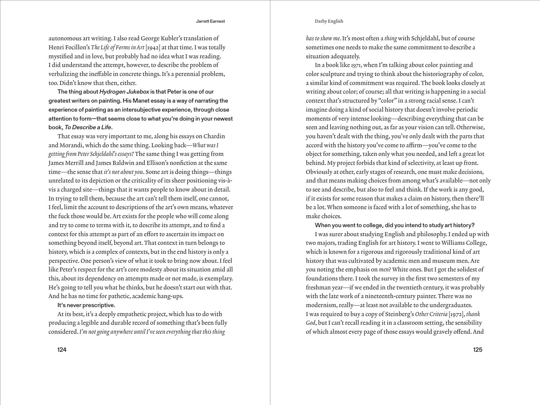## Darby English

autonomous art writing.I also read George Kubler's translation of Henri Focillon's *The Life of Forms in Art* [1942] at that time.I was totally mystified and in love, but probably had no idea what I was reading. I did understand the attempt, however, to describe the problem of verbalizing the ineffable in concrete things. It's a perennial problem, too. Didn't know that then, either.

The thing about *Hydrogen Jukebox* is that Peter is one of our greatest writers on painting. His Manet essay is a way of narrating the experience of painting as an intersubjective experience, through close attention to form—that seems close to what you're doing in your newest book, *To Describe a Life*.

That essay was very important to me, along his essays on Chardin and Morandi, which do the same thing. Looking back—*What was I getting from Peter Schjeldahl's essays?* The same thing I was getting from James Merrill and James Baldwin and Ellison's nonfiction at the same time—the sense that *it's not about you*. Some art is doing things—things unrelated to its depiction or the criticality of its sheer positioning vis-àvis a charged site—things that it wants people to know about in detail. In trying to tell them, because the art can't tell them itself, one cannot, I feel, limit the account to descriptions of the art's own means, whatever the fuck those would be.Art exists for the people who will come along and try to come to terms with it, to describe its attempt, and to find a context for this attempt as part of an effort to ascertain its impact on something beyond itself, beyond art.That context in turn belongs to history, which is a complex of contexts, but in the end history is only a perspective. One person's view of what it took to bring now about.I feel like Peter's respect for the art's core modesty about its situation amid all this, about its dependency on attempts made or not made, is exemplary. He's going to tell you what he thinks, but he doesn't start out with that. And he has no time for pathetic, academic hang-ups.

# It's never prescriptive.

At its best, it's a deeply empathetic project, which has to do with producing a legible and durable record of something that's been fully considered. *I'm not going anywhere until I've seen everything that this thing* 

*has to show me.* It's most often a *thing* with Schjeldahl, but of course sometimes one needs to make the same commitment to describe a situation adequately.

In a book like *1971*, when I'm talking about color painting and color sculpture and trying to think about the historiography of color, a similar kind of commitment was required.The book looks closely at writing about color; of course; all that writing is happening in a social context that's structured by "color" in a strong racial sense.I can't imagine doing a kind of social history that doesn't involve periodic moments of very intense looking—describing everything that can be seen and leaving nothing out, as far as your vision can tell. Otherwise, you haven't dealt with the thing, you've only dealt with the parts that accord with the history you've come to affirm—you've come to the object for something, taken only what you needed, and left a great lot behind. My project forbids that kind of selectivity, at least up front. Obviously at other, early stages of research, one must make decisions, and that means making choices from among what's available—not only to see and describe, but also to feel and think.If the work is any good, if it exists for some reason that makes a claim on history, then there'll be a lot. When someone is faced with a lot of something, she has to make choices.

## When you went to college, did you intend to study art history?

I was surer about studying English and philosophy.I ended up with two majors, trading English for art history. I went to Williams College, which is known for a rigorous and rigorously traditional kind of art history that was cultivated by academic men and museum men.Are you noting the emphasis on *men*? White ones. But I got the solidest of foundations there.I took the survey in the first two semesters of my freshman year—if we ended in the twentieth century, it was probably with the late work of a nineteenth-century painter. There was no modernism, really—at least not available to the undergraduates. I was required to buy a copy of Steinberg's *Other Criteria* [1972], *thank*  God, but I can't recall reading it in a classroom setting, the sensibility of which almost every page of those essays would gravely offend.And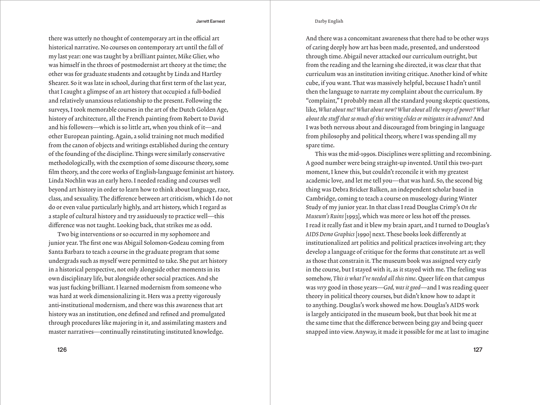## Darby English

there was utterly no thought of contemporary art in the official art historical narrative. No courses on contemporary art until the fall of my last year: one was taught by a brilliant painter, Mike Glier, who was himself in the throes of postmodernist art theory at the time; the other was for graduate students and cotaught by Linda and Hartley Shearer. So it was late in school, during that first term of the last year, that I caught a glimpse of an art history that occupied a full-bodied and relatively unanxious relationship to the present. Following the surveys, I took memorable courses in the art of the Dutch Golden Age, history of architecture, all the French painting from Robert to David and his followers—which is so little art, when you think of it—and other European painting.Again, a solid training not much modified from the canon of objects and writings established during the century of the founding of the discipline.Things were similarly conservative methodologically, with the exemption of some discourse theory, some film theory, and the core works of English-language feminist art history. Linda Nochlin was an early hero.I needed reading and courses well beyond art history in order to learn how to think about language, race, class, and sexuality.The difference between art criticism, which I do not do or even value particularly highly, and art history, which I regard as a staple of cultural history and try assiduously to practice well—this difference was not taught. Looking back, that strikes me as odd.

Two big interventions or so occurred in my sophomore and junior year.The first one was Abigail Solomon-Godeau coming from Santa Barbara to teach a course in the graduate program that some undergrads such as myself were permitted to take. She put art history in a historical perspective, not only alongside other moments in its own disciplinary life, but alongside other social practices.And she was just fucking brilliant.I learned modernism from someone who was hard at work dimensionalizing it. Hers was a pretty vigorously anti-institutional modernism, and there was this awareness that art history was an institution, one defined and refined and promulgated through procedures like majoring in it, and assimilating masters and master narratives—continually reinstituting instituted knowledge.

126 127

And there was a concomitant awareness that there had to be other ways of caring deeply how art has been made, presented, and understood through time.Abigail never attacked our curriculum outright, but from the reading and the learning she directed, it was clear that that curriculum was an institution inviting critique.Another kind of white cube, if you want.That was massively helpful, because I hadn't until then the language to narrate my complaint about the curriculum. By "complaint," I probably mean all the standard young skeptic questions, like, *What about me? What about now? What about all the ways of power? What about the stuff that so much of this writing elides or mitigates in advance?* And I was both nervous about and discouraged from bringing in language from philosophy and political theory, where I was spending all my spare time.

This was the mid-1990s. Disciplines were splitting and recombining. A good number were being straight-up invented. Until this two-part moment,I knew this, but couldn't reconcile it with my greatest academic love, and let me tell you—that was hard. So, the second big thing was Debra Bricker Balken, an independent scholar based in Cambridge, coming to teach a course on museology during Winter Study of my junior year.In that class I read Douglas Crimp's *On the Museum's Ruins* [1993], which was more or less hot off the presses*.* I read it really fast and it blew my brain apart, and I turned to Douglas's *AIDS Demo Graphics* [1990] next.These books look differently at institutionalized art politics and political practices involving art; they develop a language of critique for the forms that constitute art as well as those that constrain it.The museum book was assigned very early in the course, but I stayed with it, as it stayed with me.The feeling was somehow, *This is what I've needed all this time*. Queer life on that campus was *very* good in those years—*God, was it good*—and I was reading queer theory in political theory courses, but didn't know how to adapt it to anything. Douglas's work showed me how. Douglas's AIDS work is largely anticipated in the museum book, but that book hit me at the same time that the difference between being gay and being queer snapped into view.Anyway, it made it possible for me at last to imagine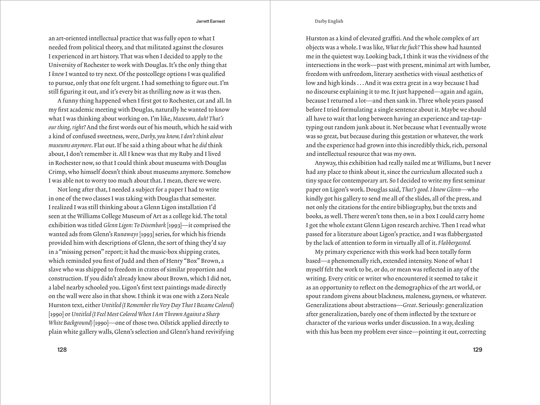an art-oriented intellectual practice that was fully open to what I needed from political theory, and that militated against the closures I experienced in art history.That was when I decided to apply to the University of Rochester to work with Douglas.It's the only thing that I *knew* I wanted to try next. Of the postcollege options I was qualified to pursue, only that one felt urgent.I had something to figure out.I'm still figuring it out, and it's every bit as thrilling now as it was then.

A funny thing happened when I first got to Rochester, cat and all.In my first academic meeting with Douglas, naturally he wanted to know what I was thinking about working on.I'm like, *Museums, duh! That's our thing, right?* And the first words out of his mouth, which he said with a kind of confused sweetness, were, *Darby, you know, I don't think about museums anymore*. Flat out.If he said a thing about what he *did* think about,I don't remember it.All I knew was that my Ruby and I lived in Rochester now, so that I could think about museums with Douglas Crimp, who himself doesn't think about museums anymore. Somehow I was able not to worry too much about that. I mean, there we were.

Not long after that,I needed a subject for a paper I had to write in one of the two classes I was taking with Douglas that semester. I realized I was still thinking about a Glenn Ligon installation I'd seen at the Williams College Museum of Art as a college kid.The total exhibition was titled *Glenn Ligon: To Disembark* [1993]—it comprised the wanted ads from Glenn's *Runaways* [1993] series, for which his friends provided him with descriptions of Glenn, the sort of thing they'd say in a "missing person" report; it had the music-box shipping crates, which reminded you first of Judd and then of Henry "Box" Brown, a slave who was shipped to freedom in crates of similar proportion and construction.If you didn't already know about Brown, which I did not, a label nearby schooled you. Ligon's first text paintings made directly on the wall were also in that show.I think it was one with a Zora Neale Hurston text, either *Untitled (I Remember the Very Day That I Became Colored)*  [1990] or *Untitled (I Feel Most Colored When I Am Thrown Against a Sharp White Background)* [1990]—one of those two. Oilstick applied directly to plain white gallery walls, Glenn's selection and Glenn's hand revivifying

#### Darby English

Hurston as a kind of elevated graffiti.And the whole complex of art objects was a whole.I was like, *What the fuck?* This show had haunted me in the quietest way. Looking back, I think it was the vividness of the intersections in the work—past with present, minimal art with lumber, freedom with unfreedom, literary aesthetics with visual aesthetics of low and high kinds ... And it was extra great in a way because I had no discourse explaining it to me.It just happened—again and again, because I returned a lot—and then sank in.Three whole years passed before I tried formulating a single sentence about it. Maybe we should all have to wait that long between having an experience and tap-taptyping out random junk about it. Not because what I eventually wrote was so great, but because during this gestation or whatever, the work and the experience had grown into this incredibly thick, rich, personal and intellectual resource that was my own.

Anyway, this exhibition had really nailed me at Williams, but I never had any place to think about it, since the curriculum allocated such a tiny space for contemporary art. So I decided to write my first seminar paper on Ligon's work. Douglas said, *That's good. I know Glenn*—who kindly got his gallery to send me all of the slides, all of the press, and not only the citations for the entire bibliography, but the texts and books, as well.There weren't tons then, so in a box I could carry home I got the whole extant Glenn Ligon research archive. Then I read what passed for a literature about Ligon's practice, and I was flabbergasted by the lack of attention to form in virtually all of it. *Flabbergasted.*

My primary experience with this work had been totally form based—a phenomenally rich, extended intensity. None of what I myself felt the work to be, or do, or mean was reflected in any of the writing. Every critic or writer who encountered it seemed to take it as an opportunity to reflect on the demographics of the art world, or spout random givens about blackness, maleness, gayness, or whatever. Generalizations about abstractions—*Great*. Seriously: generalization after generalization, barely one of them inflected by the texture or character of the various works under discussion.In a way, dealing with this has been my problem ever since—pointing it out, correcting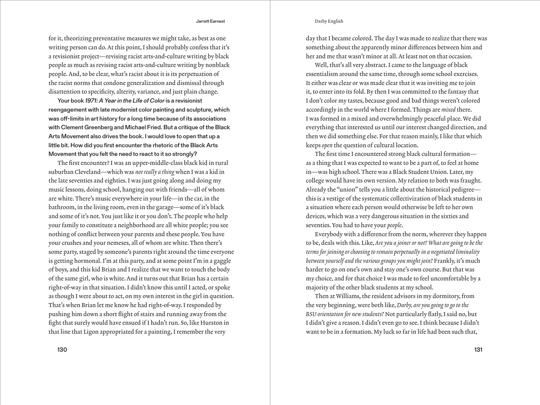#### Darby English

Jarrett Earnest

for it, theorizing preventative measures we might take, as best as one writing person can do. At this point, I should probably confess that it's a revisionist project—revising racist arts-and-culture writing by black people as much as revising racist arts-and-culture writing by nonblack people. And, to be clear, what's racist about it is its perpetuation of the racist norms that condone generalization and dismissal through disattention to specificity, alterity, variance, and just plain change.

Your book *1971: A Year in the Life of Color* is a revisionist reengagement with late modernist color painting and sculpture, which was off-limits in art history for a long time because of its associations with Clement Greenberg and Michael Fried. But a critique of the Black Arts Movement also drives the book. I would love to open that up a little bit. How did you first encounter the rhetoric of the Black Arts Movement that you felt the need to react to it so strongly?

The first encounter? I was an upper-middle-class black kid in rural suburban Cleveland—which was *not really a thing* when I was a kid in the late seventies and eighties.I was just going along and doing my music lessons, doing school, hanging out with friends—all of whom are white.There's music everywhere in your life—in the car, in the bathroom, in the living room, even in the garage—some of it's black and some of it's not.You just like it or you don't.The people who help your family to constitute a neighborhood are all white people; you see nothing of conflict between your parents and these people.You have your crushes and your nemeses, all of whom are white.Then there's some party, staged by someone's parents right around the time everyone is getting hormonal. I'm at this party, and at some point I'm in a gaggle of boys, and this kid Brian and I realize that we want to touch the body of the same girl, who is white.And it turns out that Brian has a certain right-of-way in that situation.I didn't know this until I acted, or spoke as though I were about to act, on my own interest in the girl in question. That's when Brian let me know he had right-of-way.I responded by pushing him down a short flight of stairs and running away from the fight that surely would have ensued if I hadn't run. So, like Hurston in that line that Ligon appropriated for a painting, I remember the very

130 131

day that I became colored.The day I was made to realize that there was something about the apparently minor differences between him and her and me that wasn't minor at all.At least not on that occasion.

Well, that's all very abstract. I came to the language of black essentialism around the same time, through some school exercises. It either was clear or was made clear that it was inviting me to join it, to enter into its fold. By then I was committed to the fantasy that I don't color my tastes, because good and bad things weren't colored accordingly in the world where I formed.Things are *mixed* there. I was formed in a mixed and overwhelmingly peaceful place. We did everything that interested us until our interest changed direction, and then we did something else. For that reason mainly, I like that which keeps *open* the question of cultural location.

The first time I encountered strong black cultural formation as a thing that I was expected to want to be a part of, to feel at home in—was high school.There was a Black Student Union. Later, my college would have its own version. My relation to both was fraught. Already the "union" tells you a little about the historical pedigree this is a vestige of the systematic collectivization of black students in a situation where each person would otherwise be left to her own devices, which was a very dangerous situation in the sixties and seventies.You had to have your *people*.

Everybody with a difference from the norm, wherever they happen to be, deals with this. Like, *Are you a joiner or not? What are going to be the terms for joining or choosing to remain perpetually in a negotiated liminality between yourself and the various groups you might join?* Frankly, it's much harder to go on one's own and stay one's own course. But that was my choice, and for that choice I was made to feel uncomfortable by a majority of the other black students at my school.

Then at Williams, the resident advisors in my dormitory, from the very beginning, were both like, *Darby, are you going to go to the BSU orientation for new students?* Not particularly flatly,I said no, but I didn't give a reason.I didn't even go to see.I think because I didn't want to be in a formation. My luck so far in life had been such that,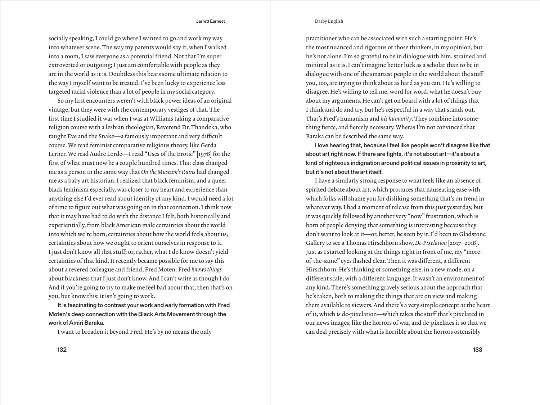## Darby English

socially speaking, I could go where I wanted to go and work my way into whatever scene.The way my parents would say it, when I walked into a room, I saw everyone as a potential friend. Not that I'm super extroverted or outgoing; I just am comfortable with people as they are in the world as it is. Doubtless this bears some ultimate relation to the way I myself want to be treated. I've been lucky to experience less targeted racial violence than a lot of people in my social category.

So my first encounters weren't with black power ideas of an original vintage, but they were with the contemporary vestiges of that.The first time I studied it was when I was at Williams taking a comparative religion course with a lesbian theologian, Reverend Dr.Thandeka, who taught Eve and the Snake—a famously important and very difficult course. We read feminist comparative religious theory, like Gerda Lerner. We read Audre Lorde—I read "Uses of the Erotic" [1978] for the first of what must now be a couple hundred times.That class changed me as a person in the same way that *On the Museum's Ruins* had changed me as a baby art historian.I realized that black feminism, and a queer black feminism especially, was closer to my heart and experience than anything else I'd ever read about identity of any kind.I would need a lot of time to figure out what was going on in that connection.I think now that it may have had to do with the distance I felt, both historically and experientially, from black American male certainties about the world into which we're born, certainties about how the world feels about us, certainties about how we ought to orient ourselves in response to it. I just don't know all that stuff; or, rather, what I do know doesn't yield certainties of that kind.It recently became possible for me to say this about a revered colleague and friend, Fred Moten: Fred *knows things* about blackness that I just don't know.And I can't write as though I do. And if you're going to try to make me feel bad about that, then that's on you, but know this: it isn't going to work.

It is fascinating to contrast your work and early formation with Fred Moten's deep connection with the Black Arts Movement through the work of Amiri Baraka.

I want to broaden it beyond Fred. He's by no means the only

practitioner who can be associated with such a starting point. He's the most nuanced and rigorous of those thinkers, in my opinion, but he's not alone.I'm so grateful to be in dialogue with him, strained and minimal as it is.I can't imagine better luck as a scholar than to be in dialogue with one of the smartest people in the world about the stuff you, too, are trying to think about as hard as you can. He's willing to disagree. He's willing to tell me, word for word, what he doesn't buy about my arguments. He can't get on board with a lot of things that I think and do and try, but he's respectful in a way that stands out. That's Fred's humanism and *his humanity*.They combine into something fierce, and fiercely necessary. Wheras I'm not convinced that Baraka can be described the same way.

I love hearing that, because I feel like people won't disagree like that about art right now. If there are fights, it's not about art—it's about a kind of righteous indignation around political issues in proximity to art, but it's not about the art itself.

I have a similarly strong response to what feels like an absence of spirited debate about art, which produces that nauseating ease with which folks will shame you for disliking something that's on trend in whatever way.I had a moment of release from this just yesterday, but it was quickly followed by another very "now" frustration, which is born of people denying that something is interesting because they don't want to look at it—or, better, be seen by it.I'd been to Gladstone Gallery to see a Thomas Hirschhorn show, *De-Pixelation* [2017–2018]. Just as I started looking at the things right in front of me, my "moreof-the-same" eyes flashed clear.Then it was different, a different Hirschhorn. He's thinking of something else, in a new mode, on a different scale, with a different language.It wasn't an environment of any kind.There's something gravely serious about the approach that he's taken, both to making the things that are on view and making them available to viewers.And there's a very simple concept at the heart of it, which is de-pixelation*—*which takes the stuff that's pixelated in our news images, like the horrors of war, and de-pixelates it so that we can deal precisely with what is horrible about the horrors ostensibly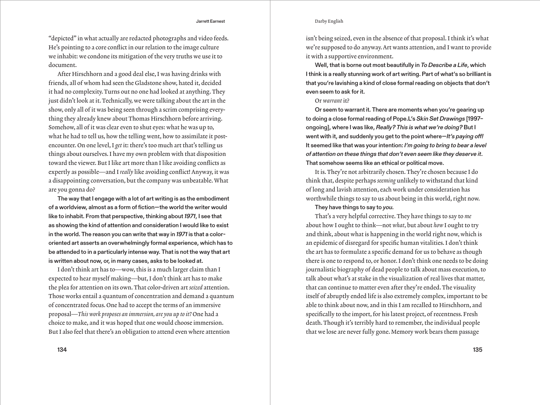## Darby English

"depicted" in what actually are redacted photographs and video feeds. He's pointing to a core conflict in our relation to the image culture we inhabit: we condone its mitigation of the very truths we use it to document.

After Hirschhorn and a good deal else,I was having drinks with friends, all of whom had seen the Gladstone show, hated it, decided it had no complexity.Turns out no one had looked at anything.They just didn't look at it. Technically, we were talking about the art in the show, only all of it was being seen through a scrim comprising everything they already knew about Thomas Hirschhorn before arriving. Somehow, all of it was clear even to shut eyes: what he was up to, what he had to tell us, how the telling went, how to assimilate it postencounter. On one level,I *get* it: there's too much art that's telling us things about ourselves.I have my own problem with that disposition toward the viewer. But I like art more than I like avoiding conflicts as expertly as possible—and I *really* like avoiding conflict! Anyway, it was a disappointing conversation, but the company was unbeatable. What are you gonna do?

The way that I engage with a lot of art writing is as the embodiment of a worldview, almost as a form of fiction—the world the writer would like to inhabit. From that perspective, thinking about *1971*, I see that as showing the kind of attention and consideration I would like to exist in the world. The reason you can write that way in *1971* is that a colororiented art asserts an overwhelmingly formal experience, which has to be attended to in a particularly intense way. That is not the way that art is written about now, or, in many cases, asks to be looked at.

I don't think art has to-wow, this is a much larger claim than I expected to hear myself making—but,I don't think art has to make the plea for attention on its own.That color-driven art *seized* attention. Those works entail a quantum of concentration and demand a quantum of concentrated focus. One had to accept the terms of an immersive proposal—*This work proposes an immersion, are you up to it?* One had a choice to make, and it was hoped that one would choose immersion. But I also feel that there's an obligation to attend even where attention

134 135

isn't being seized, even in the absence of that proposal.I think it's what we're supposed to do anyway.Art wants attention, and I want to provide it with a supportive environment.

Well, that is borne out most beautifully in *To Describe a Life*, which I think is a really stunning work of art writing. Part of what's so brilliant is that you're lavishing a kind of close formal reading on objects that don't even seem to ask for it.

# Or *warrant* it?

Or seem to warrant it. There are moments when you're gearing up to doing a close formal reading of Pope.L's *Skin Set Drawings* [1997– ongoing], where I was like, *Really? This is what we're doing?* But I went with it, and suddenly you get to the point where—*It's paying off!*  It seemed like that was your intention: *I'm going to bring to bear a level of attention on these things that don't even seem like they deserve it*. That somehow seems like an ethical or political move.

It is.They're not arbitrarily chosen.They're chosen because I do think that, despite perhaps *seeming* unlikely to withstand that kind of long and lavish attention, each work under consideration has worthwhile things to say to us about being in this world, right now.

# They have things to say to *you.*

That's a very helpful corrective.They have things to say to *me* about how I ought to think—not *what*, but about *how* I ought to try and think, about what is happening in the world right now, which is an epidemic of disregard for specific human vitalities.I don't think the art has to formulate a specific demand for us to behave as though there is one to respond to, or honor.I don't think one needs to be doing journalistic biography of dead people to talk about mass execution, to talk about what's at stake in the visualization of real lives that matter, that can continue to matter even after they're ended.The visuality itself of abruptly ended life is also extremely complex, important to be able to think about now, and in this I am recalled to Hirschhorn, and specifically to the import, for his latest project, of recentness. Fresh death. Though it's terribly hard to remember, the individual people that we lose are never fully gone. Memory work bears them passage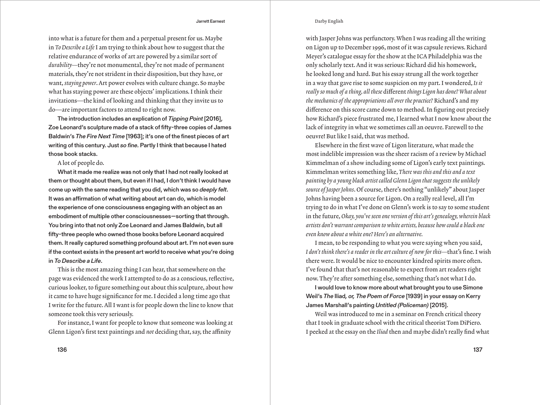into what is a future for them and a perpetual present for us. Maybe in *To Describe a Life* I am trying to think about how to suggest that the relative endurance of works of art are powered by a similar sort of *durability*—they're not monumental, they're not made of permanent materials, they're not strident in their disposition, but they have, or want, *staying power*.Art power evolves with culture change. So maybe what has staying power are these objects' implications. I think their invitations—the kind of looking and thinking that they invite us to do—are important factors to attend to right now.

The introduction includes an explication of *Tipping Point* [2016], Zoe Leonard's sculpture made of a stack of fifty-three copies of James Baldwin's *The Fire Next Time* [1963]; it's one of the finest pieces of art writing of this century. Just *so fine.* Partly I think that because I hated those book stacks.

# A lot of people do.

What it made me realize was not only that I had not really looked at them or thought about them, but even if I had, I don't think I would have come up with the same reading that you did, which was so *deeply felt*. It was an affirmation of what writing about art can do, which is model the experience of one consciousness engaging with an object as an embodiment of multiple other consciousnesses—sorting that through. You bring into that not only Zoe Leonard and James Baldwin, but all fifty-three people who owned those books before Leonard acquired them. It really captured something profound about art. I'm not even sure if the context exists in the present art world to receive what you're doing in *To Describe a Life*.

This is the most amazing thing I can hear, that somewhere on the page was evidenced the work I attempted to do as a conscious, reflective, curious looker, to figure something out about this sculpture, about how it came to have huge significance for me.I decided a long time ago that I write for the future.All I want is for people down the line to know that someone took this very seriously.

For instance,I want for people to know that someone was looking at Glenn Ligon's first text paintings and *not* deciding that, say, the affinity

#### Darby English

with Jasper Johns was perfunctory. When I was reading all the writing on Ligon up to December 1996, most of it was capsule reviews. Richard Meyer's catalogue essay for the show at the ICA Philadelphia was the only scholarly text.And it was serious: Richard did his homework, he looked long and hard. But his essay strung all the work together in a way that gave rise to some suspicion on my part.I wondered, *Is it really so much of a thing, all these* different *things Ligon has done? What about the mechanics of the appropriations all over the practice?* Richard's and my difference on this score came down to method.In figuring out precisely how Richard's piece frustrated me, I learned what I now know about the lack of integrity in what we sometimes call an oeuvre. Farewell to the oeuvre! But like I said, that was method.

Elsewhere in the first wave of Ligon literature, what made the most indelible impression was the sheer racism of a review by Michael Kimmelman of a show including some of Ligon's early text paintings. Kimmelman writes something like, *There was this and this and a text painting by a young black artist called Glenn Ligon that suggests the unlikely*  source of Jasper Johns. Of course, there's nothing "unlikely" about Jasper Johns having been a source for Ligon. On a really real level, all I'm trying to do in what I've done on Glenn's work is to say to some student in the future, *Okay, you've seen one version of this art's genealogy, wherein black artists don't warrant comparison to white artists, because how could a black one even know about a white one? Here's an alternative.*

I mean, to be responding to what you were saying when you said, *I don't think there's a reader in the art culture of now for this—*that's fine.I wish there were.It would be nice to encounter kindred spirits more often. I've found that that's not reasonable to expect from art readers right now.They're after something else, something that's not what I do.

I would love to know more about what brought you to use Simone Weil's *The* Iliad*, or, The Poem of Force* [1939] in your essay on Kerry James Marshall's painting *Untitled (Policeman)* [2015].

Weil was introduced to me in a seminar on French critical theory that I took in graduate school with the critical theorist Tom DiPiero. I peeked at the essay on the *Iliad* then and maybe didn't really find what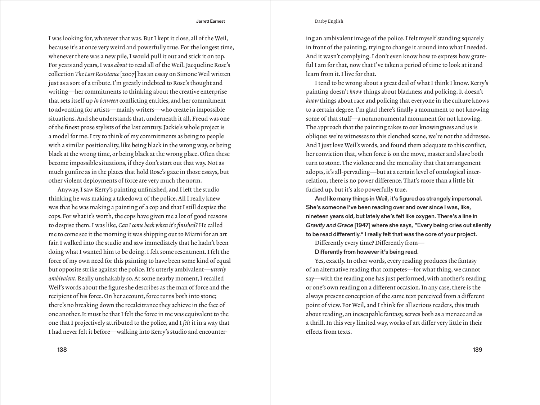## Darby English

I was looking for, whatever that was. But I kept it close, all of the Weil, because it's at once very weird and powerfully true. For the longest time, whenever there was a new pile, I would pull it out and stick it on top. For years and years,I was *about* to read all of the Weil.Jacqueline Rose's collection *The Last Resistance* [2007] has an essay on Simone Weil written just as a sort of a tribute. I'm greatly indebted to Rose's thought and writing—her commitments to thinking about the creative enterprise that sets itself up *in between* conflicting entities, and her commitment to advocating for artists—mainly writers—who create in impossible situations.And she understands that, underneath it all, Freud was one of the finest prose stylists of the last century.Jackie's whole project is a model for me.I try to think of my commitments as being to people with a similar positionality, like being black in the wrong way, or being black at the wrong time, or being black at the wrong place. Often these become impossible situations, if they don't start out that way. Not as much gunfire as in the places that hold Rose's gaze in those essays, but other violent deployments of force are very much the norm.

Anyway,I saw Kerry's painting unfinished, and I left the studio thinking he was making a takedown of the police.All I really knew was that he was making a painting of a cop and that I still despise the cops. For what it's worth, the cops have given me a lot of good reasons to despise them.I was like, *Can I come back when it's finished?* He called me to come see it the morning it was shipping out to Miami for an art fair.I walked into the studio and saw immediately that he hadn't been doing what I wanted him to be doing.I felt some resentment.I felt the force of my own need for this painting to have been some kind of equal but opposite strike against the police.It's utterly ambivalent—*utterly ambivalent*. Really unshakably so.At some nearby moment,I recalled Weil's words about the figure she describes as the man of force and the recipient of his force. On her account, force turns both into stone; there's no breaking down the recalcitrance they achieve in the face of one another.It must be that I felt the force in me was equivalent to the one that I projectively attributed to the police, and I *felt* it in a way that I had never felt it before—walking into Kerry's studio and encounter-

138 139

ing an ambivalent image of the police.I felt myself standing squarely in front of the painting, trying to change it around into what I needed. And it wasn't complying.I don't even know how to express how grateful I am for that, now that I've taken a period of time to look at it and learn from it.I live for that.

I tend to be wrong about a great deal of what I think I know.Kerry's painting doesn't *know* things about blackness and policing.It doesn't *know* things about race and policing that everyone in the culture knows to a certain degree.I'm glad there's finally a monument to not knowing some of that stuff—a nonmonumental monument for not knowing. The approach that the painting takes to our knowingness and us is oblique: we're witnesses to this clenched scene, we're not the addressee. And I just love Weil's words, and found them adequate to this conflict, her conviction that, when force is on the move, master and slave both turn to stone. The violence and the mentality that that arrangement adopts, it's all-pervading—but at a certain level of ontological interrelation, there is no power difference. That's more than a little bit fucked up, but it's also powerfully true.

And like many things in Weil, it's figured as strangely impersonal. She's someone I've been reading over and over since I was, like, nineteen years old, but lately she's felt like oxygen. There's a line in *Gravity and Grace* [1947] where she says, "Every being cries out silently to be read differently." I really felt that was the core of your project.

Differently every time? Differently from—

Differently from however it's being read.

Yes, exactly.In other words, every reading produces the fantasy of an alternative reading that competes—for what thing, we cannot say—with the reading one has just performed, with another's reading or one's own reading on a different occasion. In any case, there is the always present conception of the same text perceived from a different point of view. For Weil, and I think for all serious readers, this truth about reading, an inescapable fantasy, serves both as a menace and as a thrill. In this very limited way, works of art differ very little in their effects from texts.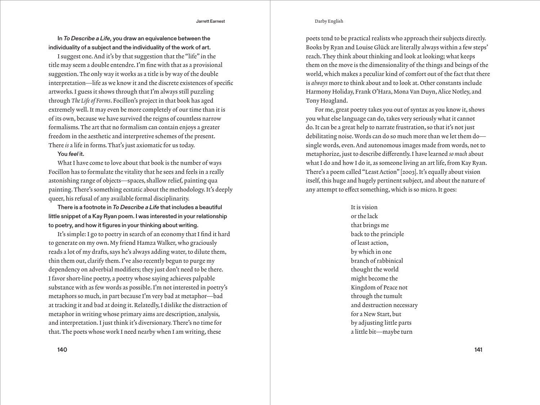## Darby English

In *To Describe a Life*, you draw an equivalence between the individuality of a subject and the individuality of the work of art.

I suggest one.And it's by that suggestion that the "life" in the title may seem a double entendre.I'm fine with that as a provisional suggestion.The only way it works as a title is by way of the double interpretation—life as we know it and the discrete existences of specific artworks.I guess it shows through that I'm always still puzzling through *The Life of Forms*. Focillon's project in that book has aged extremely well.It may even be more completely of our time than it is of its own, because we have survived the reigns of countless narrow formalisms.The art that no formalism can contain enjoys a greater freedom in the aesthetic and interpretive schemes of the present. There *is* a life in forms.That's just axiomatic for us today.

# You *feel* it.

What I have come to love about that book is the number of ways Focillon has to formulate the vitality that he sees and feels in a really astonishing range of objects—spaces, shallow relief, painting qua painting.There's something ecstatic about the methodology.It's deeply queer, his refusal of any available formal disciplinarity.

There is a footnote in *To Describe a Life* that includes a beautiful little snippet of a Kay Ryan poem. I was interested in your relationship to poetry, and how it figures in your thinking about writing.

It's simple: I go to poetry in search of an economy that I find it hard to generate on my own. My friend Hamza Walker, who graciously reads a lot of my drafts, says he's always adding water, to dilute them, thin them out, clarify them.I've also recently begun to purge my dependency on adverbial modifiers; they just don't need to be there. I favor short-line poetry, a poetry whose saying achieves palpable substance with as few words as possible.I'm not interested in poetry's metaphors so much, in part because I'm very bad at metaphor—bad at tracking it and bad at doing it. Relatedly,I dislike the distraction of metaphor in writing whose primary aims are description, analysis, and interpretation.I just think it's diversionary.There's no time for that. The poets whose work I need nearby when I am writing, these

poets tend to be practical realists who approach their subjects directly. Books by Ryan and Louise Glück are literally always within a few steps' reach.They think about thinking and look at looking; what keeps them on the move is the dimensionality of the things and beings of the world, which makes a peculiar kind of comfort out of the fact that there is *always* more to think about and to look at. Other constants include Harmony Holiday, Frank O'Hara, Mona Van Duyn, Alice Notley, and Tony Hoagland.

For me, great poetry takes you out of syntax as you know it, shows you what else language can do, takes very seriously what it cannot do.It can be a great help to narrate frustration, so that it's not just debilitating noise. Words can do so much more than we let them do single words, even.And autonomous images made from words, not to metaphorize, just to describe differently.I have learned *so much* about what I do and how I do it, as someone living an art life, from Kay Ryan. There's a poem called "Least Action" [2003]. It's equally about vision itself, this huge and hugely pertinent subject, and about the nature of any attempt to effect something, which is so micro. It goes:

> It is vision or the lack that brings me back to the principle of least action, by which in one branch of rabbinical thought the world might become the Kingdom of Peace not through the tumult and destruction necessary for a New Start, but by adjusting little parts a little bit—maybe turn